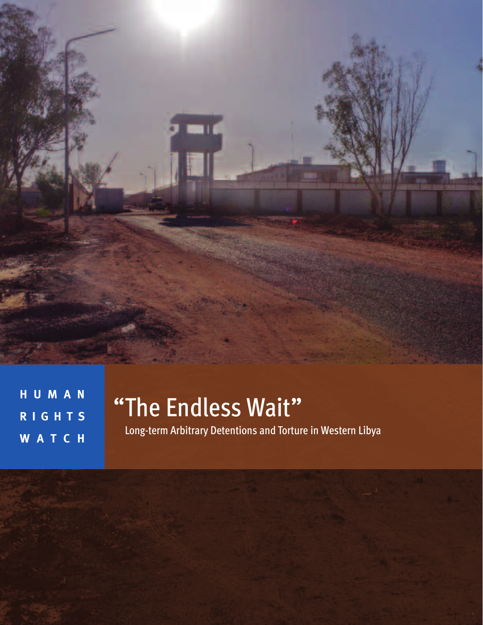

**H U M A N R I G H T S W A T C H**

# "The Endless Wait"

Long-term Arbitrary Detentions and Torture in Western Libya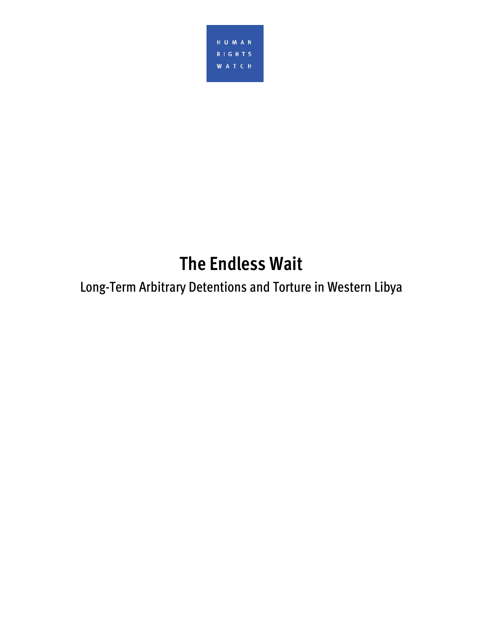

# **The Endless Wait**

# Long-Term Arbitrary Detentions and Torture in Western Libya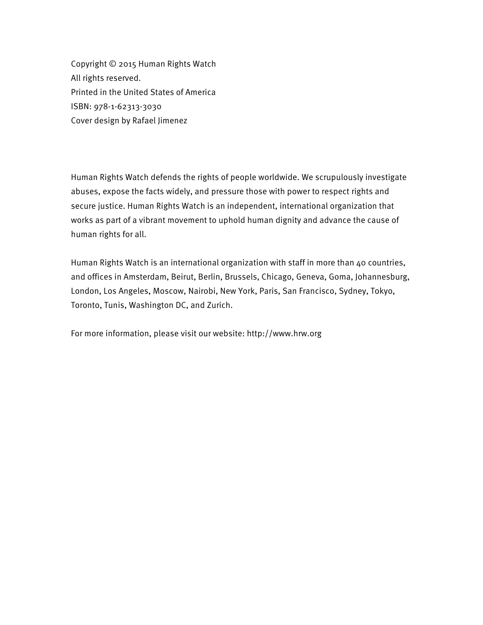Copyright © 2015 Human Rights Watch All rights reserved. Printed in the United States of America ISBN: 978-1-62313-3030 Cover design by Rafael Jimenez

Human Rights Watch defends the rights of people worldwide. We scrupulously investigate abuses, expose the facts widely, and pressure those with power to respect rights and secure justice. Human Rights Watch is an independent, international organization that works as part of a vibrant movement to uphold human dignity and advance the cause of human rights for all.

Human Rights Watch is an international organization with staff in more than 40 countries, and offices in Amsterdam, Beirut, Berlin, Brussels, Chicago, Geneva, Goma, Johannesburg, London, Los Angeles, Moscow, Nairobi, New York, Paris, San Francisco, Sydney, Tokyo, Toronto, Tunis, Washington DC, and Zurich.

For more information, please visit our website: http://www.hrw.org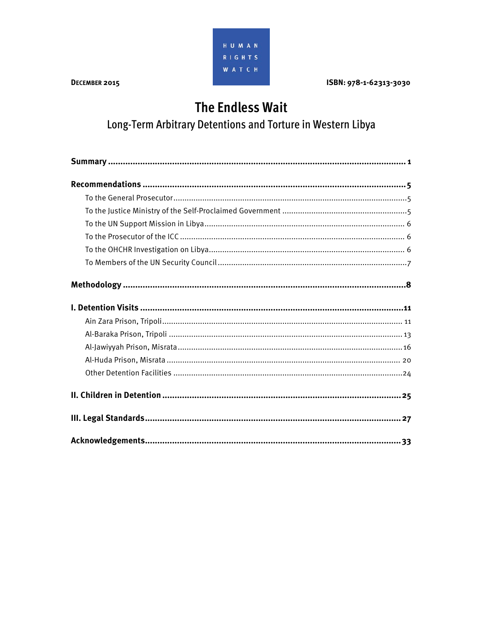

ISBN: 978-1-62313-3030

# **The Endless Wait**

Long-Term Arbitrary Detentions and Torture in Western Libya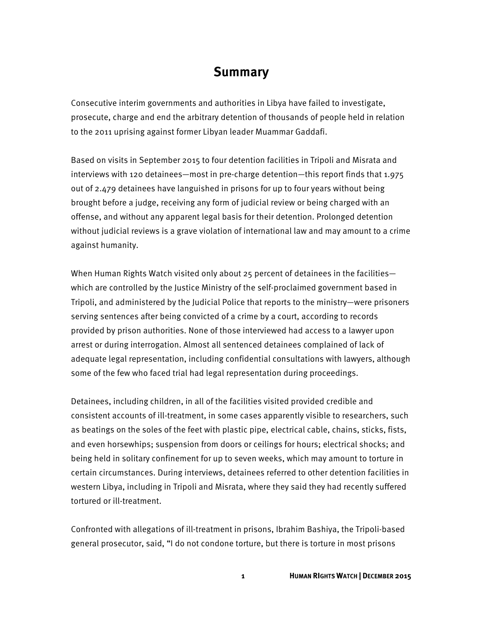## **Summary**

Consecutive interim governments and authorities in Libya have failed to investigate, prosecute, charge and end the arbitrary detention of thousands of people held in relation to the 2011 uprising against former Libyan leader Muammar Gaddafi.

Based on visits in September 2015 to four detention facilities in Tripoli and Misrata and interviews with 120 detainees—most in pre-charge detention—this report finds that 1.975 out of 2.479 detainees have languished in prisons for up to four years without being brought before a judge, receiving any form of judicial review or being charged with an offense, and without any apparent legal basis for their detention. Prolonged detention without judicial reviews is a grave violation of international law and may amount to a crime against humanity.

When Human Rights Watch visited only about 25 percent of detainees in the facilities which are controlled by the Justice Ministry of the self-proclaimed government based in Tripoli, and administered by the Judicial Police that reports to the ministry—were prisoners serving sentences after being convicted of a crime by a court, according to records provided by prison authorities. None of those interviewed had access to a lawyer upon arrest or during interrogation. Almost all sentenced detainees complained of lack of adequate legal representation, including confidential consultations with lawyers, although some of the few who faced trial had legal representation during proceedings.

Detainees, including children, in all of the facilities visited provided credible and consistent accounts of ill-treatment, in some cases apparently visible to researchers, such as beatings on the soles of the feet with plastic pipe, electrical cable, chains, sticks, fists, and even horsewhips; suspension from doors or ceilings for hours; electrical shocks; and being held in solitary confinement for up to seven weeks, which may amount to torture in certain circumstances. During interviews, detainees referred to other detention facilities in western Libya, including in Tripoli and Misrata, where they said they had recently suffered tortured or ill-treatment.

Confronted with allegations of ill-treatment in prisons, Ibrahim Bashiya, the Tripoli-based general prosecutor, said, "I do not condone torture, but there is torture in most prisons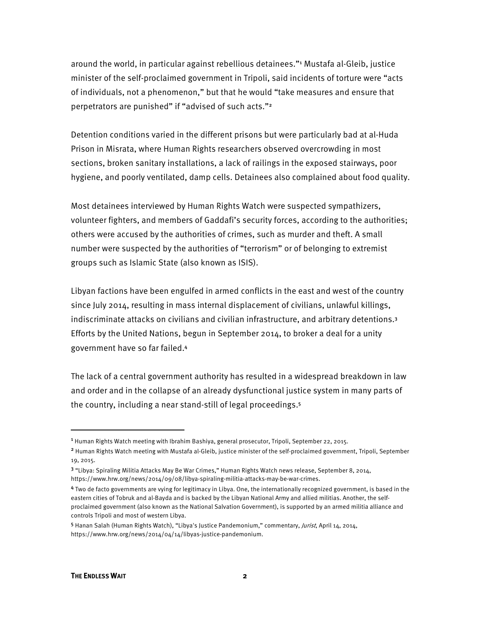around the world, in particular against rebellious detainees."<sup>1</sup> Mustafa al-Gleib, justice minister of the self-proclaimed government in Tripoli, said incidents of torture were "acts of individuals, not a phenomenon," but that he would "take measures and ensure that perpetrators are punished" if "advised of such acts."<sup>2</sup>

Detention conditions varied in the different prisons but were particularly bad at al-Huda Prison in Misrata, where Human Rights researchers observed overcrowding in most sections, broken sanitary installations, a lack of railings in the exposed stairways, poor hygiene, and poorly ventilated, damp cells. Detainees also complained about food quality.

Most detainees interviewed by Human Rights Watch were suspected sympathizers, volunteer fighters, and members of Gaddafi's security forces, according to the authorities; others were accused by the authorities of crimes, such as murder and theft. A small number were suspected by the authorities of "terrorism" or of belonging to extremist groups such as Islamic State (also known as ISIS).

Libyan factions have been engulfed in armed conflicts in the east and west of the country since July 2014, resulting in mass internal displacement of civilians, unlawful killings, indiscriminate attacks on civilians and civilian infrastructure, and arbitrary detentions.<sup>3</sup> Efforts by the United Nations, begun in September 2014, to broker a deal for a unity government have so far failed.<sup>4</sup>

The lack of a central government authority has resulted in a widespread breakdown in law and order and in the collapse of an already dysfunctional justice system in many parts of the country, including a near stand-still of legal proceedings.<sup>5</sup>

 $\overline{a}$ 

<sup>&</sup>lt;sup>1</sup> Human Rights Watch meeting with Ibrahim Bashiya, general prosecutor, Tripoli, September 22, 2015.

<sup>2</sup> Human Rights Watch meeting with Mustafa al-Gleib, justice minister of the self-proclaimed government, Tripoli, September 19, 2015.

<sup>3</sup> "Libya: Spiraling Militia Attacks May Be War Crimes," Human Rights Watch news release, September 8, 2014, https://www.hrw.org/news/2014/09/08/libya-spiraling-militia-attacks-may-be-war-crimes.

<sup>4</sup> Two de facto governments are vying for legitimacy in Libya. One, the internationally recognized government, is based in the eastern cities of Tobruk and al-Bayda and is backed by the Libyan National Army and allied militias. Another, the selfproclaimed government (also known as the National Salvation Government), is supported by an armed militia alliance and controls Tripoli and most of western Libya.

<sup>5</sup> Hanan Salah (Human Rights Watch), "Libya's Justice Pandemonium," commentary, Jurist, April 14, 2014, https://www.hrw.org/news/2014/04/14/libyas-justice-pandemonium.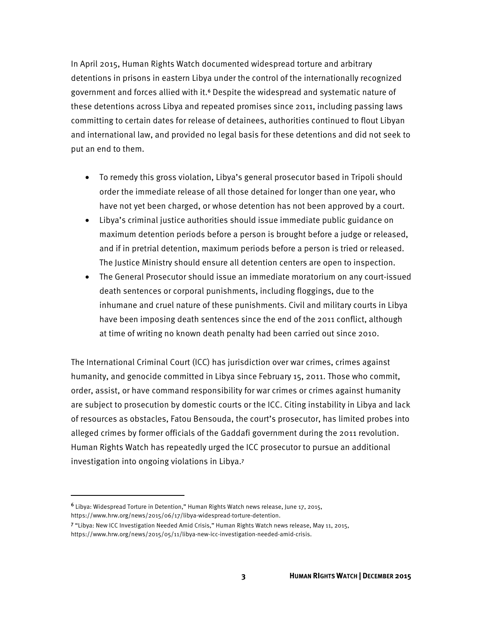In April 2015, Human Rights Watch documented widespread torture and arbitrary detentions in prisons in eastern Libya under the control of the internationally recognized government and forces allied with it.<sup>6</sup> Despite the widespread and systematic nature of these detentions across Libya and repeated promises since 2011, including passing laws committing to certain dates for release of detainees, authorities continued to flout Libyan and international law, and provided no legal basis for these detentions and did not seek to put an end to them.

- To remedy this gross violation, Libya's general prosecutor based in Tripoli should order the immediate release of all those detained for longer than one year, who have not yet been charged, or whose detention has not been approved by a court.
- Libya's criminal justice authorities should issue immediate public guidance on maximum detention periods before a person is brought before a judge or released, and if in pretrial detention, maximum periods before a person is tried or released. The Justice Ministry should ensure all detention centers are open to inspection.
- The General Prosecutor should issue an immediate moratorium on any court-issued death sentences or corporal punishments, including floggings, due to the inhumane and cruel nature of these punishments. Civil and military courts in Libya have been imposing death sentences since the end of the 2011 conflict, although at time of writing no known death penalty had been carried out since 2010.

The International Criminal Court (ICC) has jurisdiction over war crimes, crimes against humanity, and genocide committed in Libya since February 15, 2011. Those who commit, order, assist, or have command responsibility for war crimes or crimes against humanity are subject to prosecution by domestic courts or the ICC. Citing instability in Libya and lack of resources as obstacles, Fatou Bensouda, the court's prosecutor, has limited probes into alleged crimes by former officials of the Gaddafi government during the 2011 revolution. Human Rights Watch has repeatedly urged the ICC prosecutor to pursue an additional investigation into ongoing violations in Libya.<sup>7</sup>

 $\overline{\phantom{a}}$ 

<sup>6</sup> Libya: Widespread Torture in Detention," Human Rights Watch news release, June 17, 2015, https://www.hrw.org/news/2015/06/17/libya-widespread-torture-detention.

<sup>7</sup> "Libya: New ICC Investigation Needed Amid Crisis," Human Rights Watch news release, May 11, 2015, https://www.hrw.org/news/2015/05/11/libya-new-icc-investigation-needed-amid-crisis.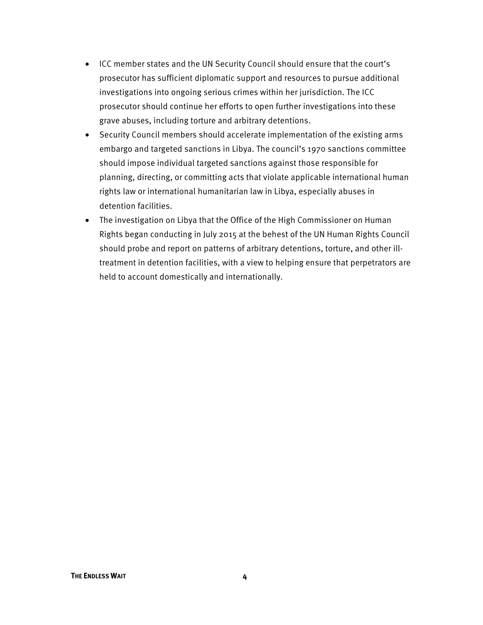- ICC member states and the UN Security Council should ensure that the court's prosecutor has sufficient diplomatic support and resources to pursue additional investigations into ongoing serious crimes within her jurisdiction. The ICC prosecutor should continue her efforts to open further investigations into these grave abuses, including torture and arbitrary detentions.
- Security Council members should accelerate implementation of the existing arms embargo and targeted sanctions in Libya. The council's 1970 sanctions committee should impose individual targeted sanctions against those responsible for planning, directing, or committing acts that violate applicable international human rights law or international humanitarian law in Libya, especially abuses in detention facilities.
- The investigation on Libya that the Office of the High Commissioner on Human Rights began conducting in July 2015 at the behest of the UN Human Rights Council should probe and report on patterns of arbitrary detentions, torture, and other illtreatment in detention facilities, with a view to helping ensure that perpetrators are held to account domestically and internationally.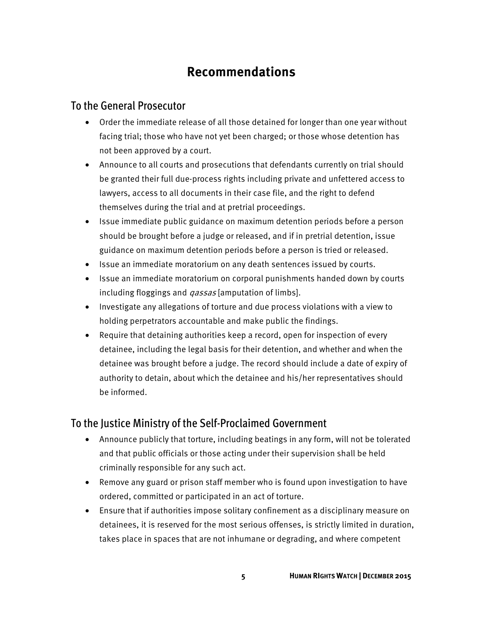# **Recommendations**

#### To the General Prosecutor

- Order the immediate release of all those detained for longer than one year without facing trial; those who have not yet been charged; or those whose detention has not been approved by a court.
- Announce to all courts and prosecutions that defendants currently on trial should be granted their full due-process rights including private and unfettered access to lawyers, access to all documents in their case file, and the right to defend themselves during the trial and at pretrial proceedings.
- Issue immediate public guidance on maximum detention periods before a person should be brought before a judge or released, and if in pretrial detention, issue guidance on maximum detention periods before a person is tried or released.
- Issue an immediate moratorium on any death sentences issued by courts.
- Issue an immediate moratorium on corporal punishments handed down by courts including floggings and *qassas* [amputation of limbs].
- Investigate any allegations of torture and due process violations with a view to holding perpetrators accountable and make public the findings.
- Require that detaining authorities keep a record, open for inspection of every detainee, including the legal basis for their detention, and whether and when the detainee was brought before a judge. The record should include a date of expiry of authority to detain, about which the detainee and his/her representatives should be informed.

#### To the Justice Ministry of the Self-Proclaimed Government

- Announce publicly that torture, including beatings in any form, will not be tolerated and that public officials or those acting under their supervision shall be held criminally responsible for any such act.
- Remove any guard or prison staff member who is found upon investigation to have ordered, committed or participated in an act of torture.
- Ensure that if authorities impose solitary confinement as a disciplinary measure on detainees, it is reserved for the most serious offenses, is strictly limited in duration, takes place in spaces that are not inhumane or degrading, and where competent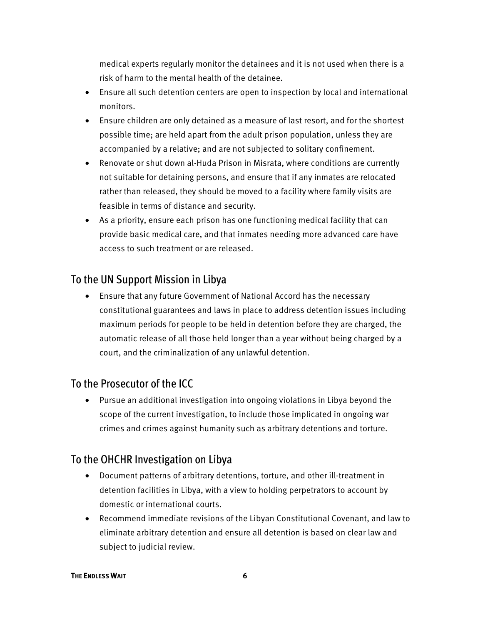medical experts regularly monitor the detainees and it is not used when there is a risk of harm to the mental health of the detainee.

- Ensure all such detention centers are open to inspection by local and international monitors.
- Ensure children are only detained as a measure of last resort, and for the shortest possible time; are held apart from the adult prison population, unless they are accompanied by a relative; and are not subjected to solitary confinement.
- Renovate or shut down al-Huda Prison in Misrata, where conditions are currently not suitable for detaining persons, and ensure that if any inmates are relocated rather than released, they should be moved to a facility where family visits are feasible in terms of distance and security.
- As a priority, ensure each prison has one functioning medical facility that can provide basic medical care, and that inmates needing more advanced care have access to such treatment or are released.

### To the UN Support Mission in Libya

• Ensure that any future Government of National Accord has the necessary constitutional guarantees and laws in place to address detention issues including maximum periods for people to be held in detention before they are charged, the automatic release of all those held longer than a year without being charged by a court, and the criminalization of any unlawful detention.

#### To the Prosecutor of the ICC

• Pursue an additional investigation into ongoing violations in Libya beyond the scope of the current investigation, to include those implicated in ongoing war crimes and crimes against humanity such as arbitrary detentions and torture.

### To the OHCHR Investigation on Libya

- Document patterns of arbitrary detentions, torture, and other ill-treatment in detention facilities in Libya, with a view to holding perpetrators to account by domestic or international courts.
- Recommend immediate revisions of the Libyan Constitutional Covenant, and law to eliminate arbitrary detention and ensure all detention is based on clear law and subject to judicial review.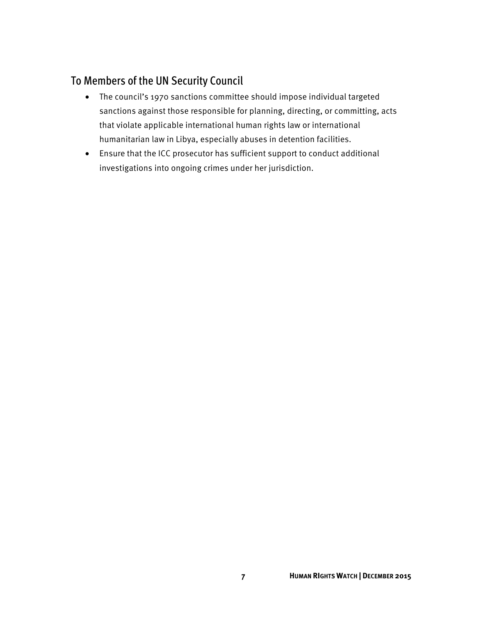## To Members of the UN Security Council

- The council's 1970 sanctions committee should impose individual targeted sanctions against those responsible for planning, directing, or committing, acts that violate applicable international human rights law or international humanitarian law in Libya, especially abuses in detention facilities.
- Ensure that the ICC prosecutor has sufficient support to conduct additional investigations into ongoing crimes under her jurisdiction.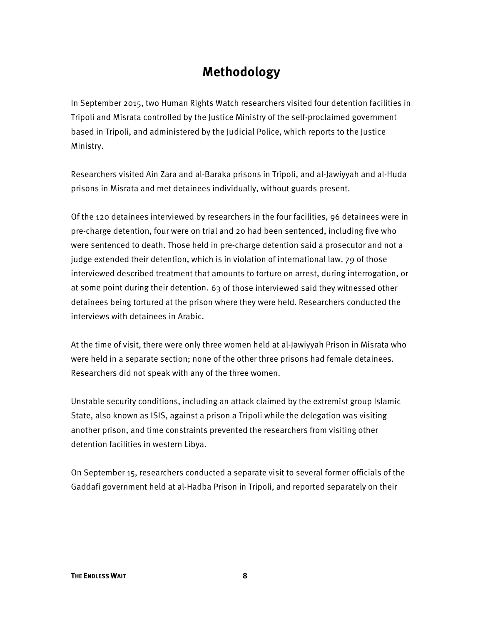# **Methodology**

In September 2015, two Human Rights Watch researchers visited four detention facilities in Tripoli and Misrata controlled by the Justice Ministry of the self-proclaimed government based in Tripoli, and administered by the Judicial Police, which reports to the Justice Ministry.

Researchers visited Ain Zara and al-Baraka prisons in Tripoli, and al-Jawiyyah and al-Huda prisons in Misrata and met detainees individually, without guards present.

Of the 120 detainees interviewed by researchers in the four facilities, 96 detainees were in pre-charge detention, four were on trial and 20 had been sentenced, including five who were sentenced to death. Those held in pre-charge detention said a prosecutor and not a judge extended their detention, which is in violation of international law. 79 of those interviewed described treatment that amounts to torture on arrest, during interrogation, or at some point during their detention. 63 of those interviewed said they witnessed other detainees being tortured at the prison where they were held. Researchers conducted the interviews with detainees in Arabic.

At the time of visit, there were only three women held at al-Jawiyyah Prison in Misrata who were held in a separate section; none of the other three prisons had female detainees. Researchers did not speak with any of the three women.

Unstable security conditions, including an attack claimed by the extremist group Islamic State, also known as ISIS, against a prison a Tripoli while the delegation was visiting another prison, and time constraints prevented the researchers from visiting other detention facilities in western Libya.

On September 15, researchers conducted a separate visit to several former officials of the Gaddafi government held at al-Hadba Prison in Tripoli, and reported separately on their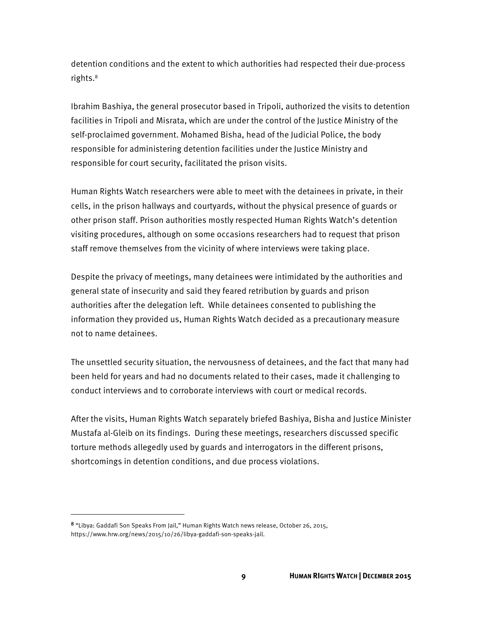detention conditions and the extent to which authorities had respected their due-process rights.8

Ibrahim Bashiya, the general prosecutor based in Tripoli, authorized the visits to detention facilities in Tripoli and Misrata, which are under the control of the Justice Ministry of the self-proclaimed government. Mohamed Bisha, head of the Judicial Police, the body responsible for administering detention facilities under the Justice Ministry and responsible for court security, facilitated the prison visits.

Human Rights Watch researchers were able to meet with the detainees in private, in their cells, in the prison hallways and courtyards, without the physical presence of guards or other prison staff. Prison authorities mostly respected Human Rights Watch's detention visiting procedures, although on some occasions researchers had to request that prison staff remove themselves from the vicinity of where interviews were taking place.

Despite the privacy of meetings, many detainees were intimidated by the authorities and general state of insecurity and said they feared retribution by guards and prison authorities after the delegation left. While detainees consented to publishing the information they provided us, Human Rights Watch decided as a precautionary measure not to name detainees.

The unsettled security situation, the nervousness of detainees, and the fact that many had been held for years and had no documents related to their cases, made it challenging to conduct interviews and to corroborate interviews with court or medical records.

After the visits, Human Rights Watch separately briefed Bashiya, Bisha and Justice Minister Mustafa al-Gleib on its findings. During these meetings, researchers discussed specific torture methods allegedly used by guards and interrogators in the different prisons, shortcomings in detention conditions, and due process violations.

 $\overline{a}$ 

<sup>8</sup> "Libya: Gaddafi Son Speaks From Jail," Human Rights Watch news release, October 26, 2015, https://www.hrw.org/news/2015/10/26/libya-gaddafi-son-speaks-jail.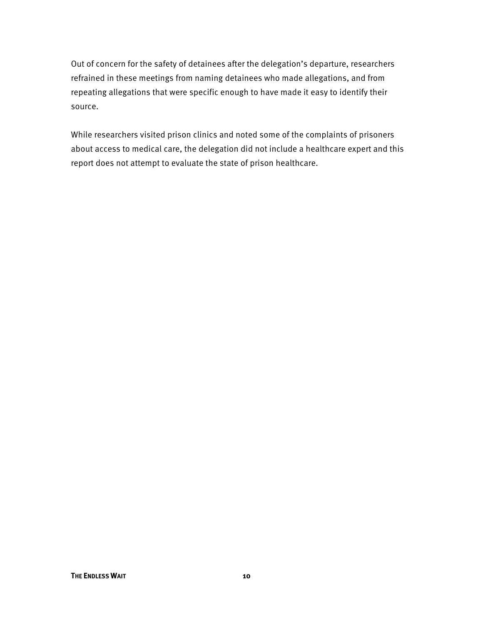Out of concern for the safety of detainees after the delegation's departure, researchers refrained in these meetings from naming detainees who made allegations, and from repeating allegations that were specific enough to have made it easy to identify their source.

While researchers visited prison clinics and noted some of the complaints of prisoners about access to medical care, the delegation did not include a healthcare expert and this report does not attempt to evaluate the state of prison healthcare.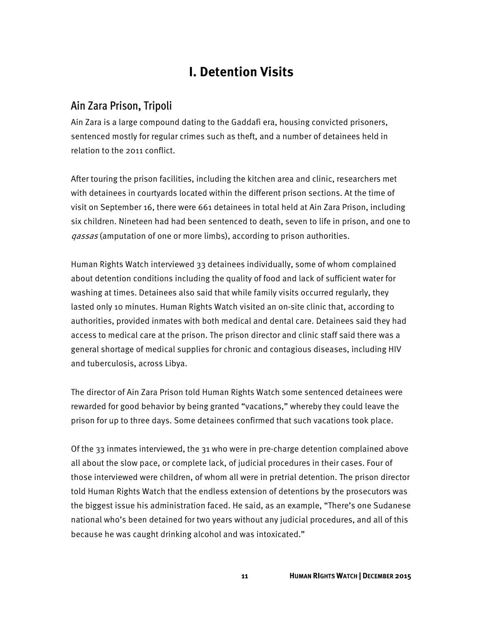# **I. Detention Visits**

#### Ain Zara Prison, Tripoli

Ain Zara is a large compound dating to the Gaddafi era, housing convicted prisoners, sentenced mostly for regular crimes such as theft, and a number of detainees held in relation to the 2011 conflict.

After touring the prison facilities, including the kitchen area and clinic, researchers met with detainees in courtyards located within the different prison sections. At the time of visit on September 16, there were 661 detainees in total held at Ain Zara Prison, including six children. Nineteen had had been sentenced to death, seven to life in prison, and one to gassas (amputation of one or more limbs), according to prison authorities.

Human Rights Watch interviewed 33 detainees individually, some of whom complained about detention conditions including the quality of food and lack of sufficient water for washing at times. Detainees also said that while family visits occurred regularly, they lasted only 10 minutes. Human Rights Watch visited an on-site clinic that, according to authorities, provided inmates with both medical and dental care. Detainees said they had access to medical care at the prison. The prison director and clinic staff said there was a general shortage of medical supplies for chronic and contagious diseases, including HIV and tuberculosis, across Libya.

The director of Ain Zara Prison told Human Rights Watch some sentenced detainees were rewarded for good behavior by being granted "vacations," whereby they could leave the prison for up to three days. Some detainees confirmed that such vacations took place.

Of the 33 inmates interviewed, the 31 who were in pre-charge detention complained above all about the slow pace, or complete lack, of judicial procedures in their cases. Four of those interviewed were children, of whom all were in pretrial detention. The prison director told Human Rights Watch that the endless extension of detentions by the prosecutors was the biggest issue his administration faced. He said, as an example, "There's one Sudanese national who's been detained for two years without any judicial procedures, and all of this because he was caught drinking alcohol and was intoxicated."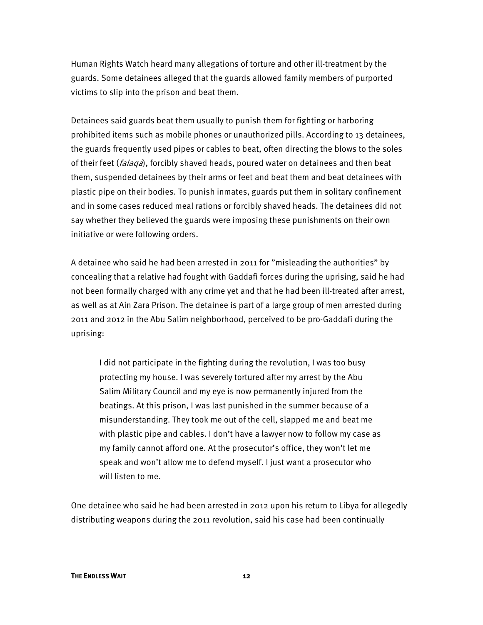Human Rights Watch heard many allegations of torture and other ill-treatment by the guards. Some detainees alleged that the guards allowed family members of purported victims to slip into the prison and beat them.

Detainees said guards beat them usually to punish them for fighting or harboring prohibited items such as mobile phones or unauthorized pills. According to 13 detainees, the guards frequently used pipes or cables to beat, often directing the blows to the soles of their feet (*falaqa*), forcibly shaved heads, poured water on detainees and then beat them, suspended detainees by their arms or feet and beat them and beat detainees with plastic pipe on their bodies. To punish inmates, guards put them in solitary confinement and in some cases reduced meal rations or forcibly shaved heads. The detainees did not say whether they believed the guards were imposing these punishments on their own initiative or were following orders.

A detainee who said he had been arrested in 2011 for "misleading the authorities" by concealing that a relative had fought with Gaddafi forces during the uprising, said he had not been formally charged with any crime yet and that he had been ill-treated after arrest, as well as at Ain Zara Prison. The detainee is part of a large group of men arrested during 2011 and 2012 in the Abu Salim neighborhood, perceived to be pro-Gaddafi during the uprising:

I did not participate in the fighting during the revolution, I was too busy protecting my house. I was severely tortured after my arrest by the Abu Salim Military Council and my eye is now permanently injured from the beatings. At this prison, I was last punished in the summer because of a misunderstanding. They took me out of the cell, slapped me and beat me with plastic pipe and cables. I don't have a lawyer now to follow my case as my family cannot afford one. At the prosecutor's office, they won't let me speak and won't allow me to defend myself. I just want a prosecutor who will listen to me.

One detainee who said he had been arrested in 2012 upon his return to Libya for allegedly distributing weapons during the 2011 revolution, said his case had been continually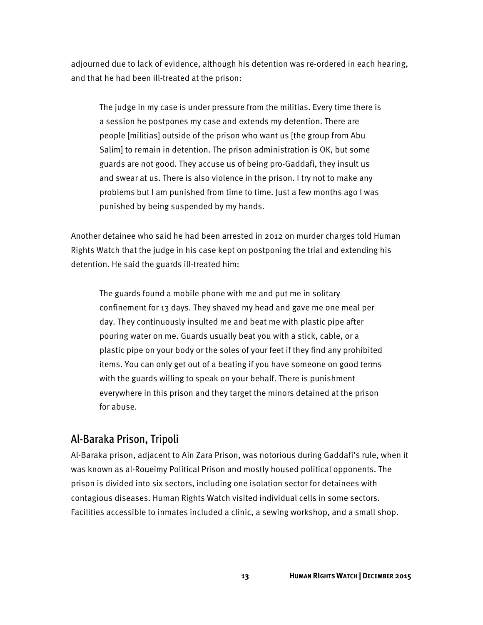adjourned due to lack of evidence, although his detention was re-ordered in each hearing, and that he had been ill-treated at the prison:

The judge in my case is under pressure from the militias. Every time there is a session he postpones my case and extends my detention. There are people [militias] outside of the prison who want us [the group from Abu Salim] to remain in detention. The prison administration is OK, but some guards are not good. They accuse us of being pro-Gaddafi, they insult us and swear at us. There is also violence in the prison. I try not to make any problems but I am punished from time to time. Just a few months ago I was punished by being suspended by my hands.

Another detainee who said he had been arrested in 2012 on murder charges told Human Rights Watch that the judge in his case kept on postponing the trial and extending his detention. He said the guards ill-treated him:

The guards found a mobile phone with me and put me in solitary confinement for 13 days. They shaved my head and gave me one meal per day. They continuously insulted me and beat me with plastic pipe after pouring water on me. Guards usually beat you with a stick, cable, or a plastic pipe on your body or the soles of your feet if they find any prohibited items. You can only get out of a beating if you have someone on good terms with the guards willing to speak on your behalf. There is punishment everywhere in this prison and they target the minors detained at the prison for abuse.

#### Al-Baraka Prison, Tripoli

Al-Baraka prison, adjacent to Ain Zara Prison, was notorious during Gaddafi's rule, when it was known as al-Roueimy Political Prison and mostly housed political opponents. The prison is divided into six sectors, including one isolation sector for detainees with contagious diseases. Human Rights Watch visited individual cells in some sectors. Facilities accessible to inmates included a clinic, a sewing workshop, and a small shop.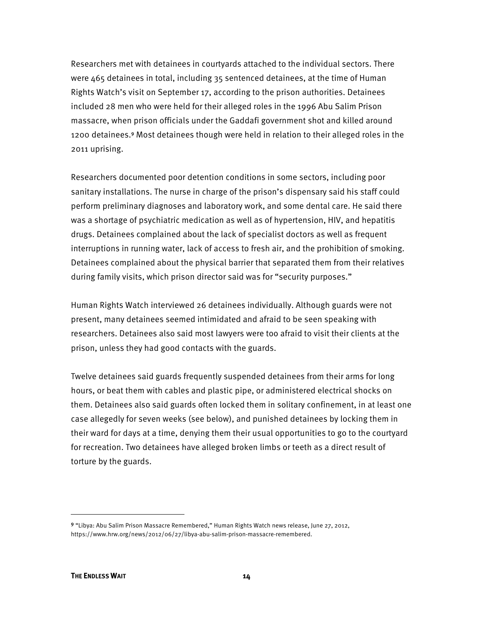Researchers met with detainees in courtyards attached to the individual sectors. There were 465 detainees in total, including 35 sentenced detainees, at the time of Human Rights Watch's visit on September 17, according to the prison authorities. Detainees included 28 men who were held for their alleged roles in the 1996 Abu Salim Prison massacre, when prison officials under the Gaddafi government shot and killed around 1200 detainees.<sup>9</sup> Most detainees though were held in relation to their alleged roles in the 2011 uprising.

Researchers documented poor detention conditions in some sectors, including poor sanitary installations. The nurse in charge of the prison's dispensary said his staff could perform preliminary diagnoses and laboratory work, and some dental care. He said there was a shortage of psychiatric medication as well as of hypertension, HIV, and hepatitis drugs. Detainees complained about the lack of specialist doctors as well as frequent interruptions in running water, lack of access to fresh air, and the prohibition of smoking. Detainees complained about the physical barrier that separated them from their relatives during family visits, which prison director said was for "security purposes."

Human Rights Watch interviewed 26 detainees individually. Although guards were not present, many detainees seemed intimidated and afraid to be seen speaking with researchers. Detainees also said most lawyers were too afraid to visit their clients at the prison, unless they had good contacts with the guards.

Twelve detainees said guards frequently suspended detainees from their arms for long hours, or beat them with cables and plastic pipe, or administered electrical shocks on them. Detainees also said guards often locked them in solitary confinement, in at least one case allegedly for seven weeks (see below), and punished detainees by locking them in their ward for days at a time, denying them their usual opportunities to go to the courtyard for recreation. Two detainees have alleged broken limbs or teeth as a direct result of torture by the guards.

l

<sup>9</sup> "Libya: Abu Salim Prison Massacre Remembered," Human Rights Watch news release, June 27, 2012, https://www.hrw.org/news/2012/06/27/libya-abu-salim-prison-massacre-remembered.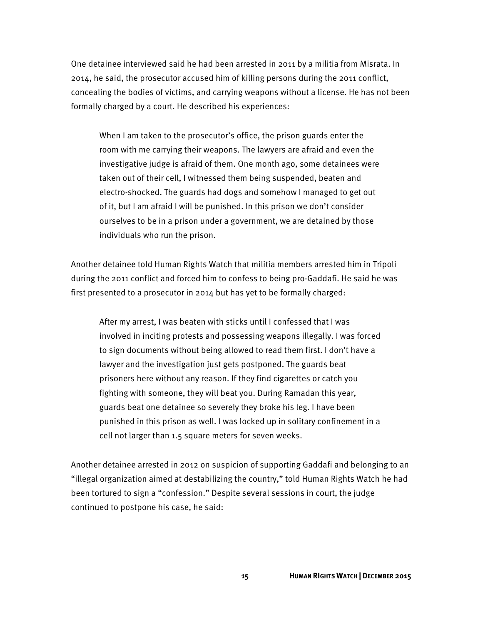One detainee interviewed said he had been arrested in 2011 by a militia from Misrata. In 2014, he said, the prosecutor accused him of killing persons during the 2011 conflict, concealing the bodies of victims, and carrying weapons without a license. He has not been formally charged by a court. He described his experiences:

When I am taken to the prosecutor's office, the prison guards enter the room with me carrying their weapons. The lawyers are afraid and even the investigative judge is afraid of them. One month ago, some detainees were taken out of their cell, I witnessed them being suspended, beaten and electro-shocked. The guards had dogs and somehow I managed to get out of it, but I am afraid I will be punished. In this prison we don't consider ourselves to be in a prison under a government, we are detained by those individuals who run the prison.

Another detainee told Human Rights Watch that militia members arrested him in Tripoli during the 2011 conflict and forced him to confess to being pro-Gaddafi. He said he was first presented to a prosecutor in 2014 but has yet to be formally charged:

After my arrest, I was beaten with sticks until I confessed that I was involved in inciting protests and possessing weapons illegally. I was forced to sign documents without being allowed to read them first. I don't have a lawyer and the investigation just gets postponed. The guards beat prisoners here without any reason. If they find cigarettes or catch you fighting with someone, they will beat you. During Ramadan this year, guards beat one detainee so severely they broke his leg. I have been punished in this prison as well. I was locked up in solitary confinement in a cell not larger than 1.5 square meters for seven weeks.

Another detainee arrested in 2012 on suspicion of supporting Gaddafi and belonging to an "illegal organization aimed at destabilizing the country," told Human Rights Watch he had been tortured to sign a "confession." Despite several sessions in court, the judge continued to postpone his case, he said: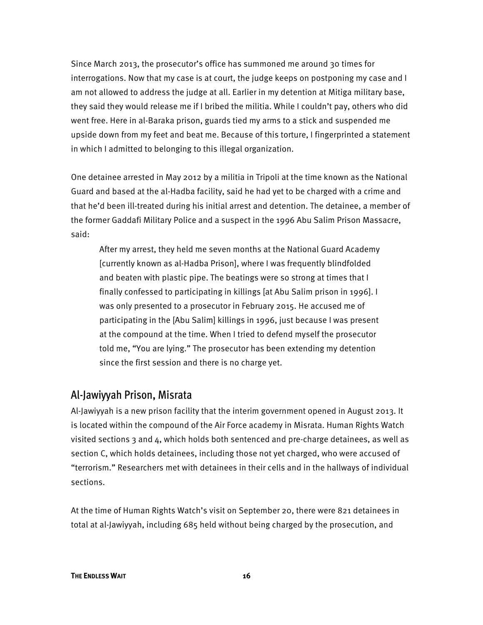Since March 2013, the prosecutor's office has summoned me around 30 times for interrogations. Now that my case is at court, the judge keeps on postponing my case and I am not allowed to address the judge at all. Earlier in my detention at Mitiga military base, they said they would release me if I bribed the militia. While I couldn't pay, others who did went free. Here in al-Baraka prison, guards tied my arms to a stick and suspended me upside down from my feet and beat me. Because of this torture, I fingerprinted a statement in which I admitted to belonging to this illegal organization.

One detainee arrested in May 2012 by a militia in Tripoli at the time known as the National Guard and based at the al-Hadba facility, said he had yet to be charged with a crime and that he'd been ill-treated during his initial arrest and detention. The detainee, a member of the former Gaddafi Military Police and a suspect in the 1996 Abu Salim Prison Massacre, said:

After my arrest, they held me seven months at the National Guard Academy [currently known as al-Hadba Prison], where I was frequently blindfolded and beaten with plastic pipe. The beatings were so strong at times that I finally confessed to participating in killings [at Abu Salim prison in 1996]. I was only presented to a prosecutor in February 2015. He accused me of participating in the [Abu Salim] killings in 1996, just because I was present at the compound at the time. When I tried to defend myself the prosecutor told me, "You are lying." The prosecutor has been extending my detention since the first session and there is no charge yet.

#### Al-Jawiyyah Prison, Misrata

Al-Jawiyyah is a new prison facility that the interim government opened in August 2013. It is located within the compound of the Air Force academy in Misrata. Human Rights Watch visited sections 3 and 4, which holds both sentenced and pre-charge detainees, as well as section C, which holds detainees, including those not yet charged, who were accused of "terrorism." Researchers met with detainees in their cells and in the hallways of individual sections.

At the time of Human Rights Watch's visit on September 20, there were 821 detainees in total at al-Jawiyyah, including 685 held without being charged by the prosecution, and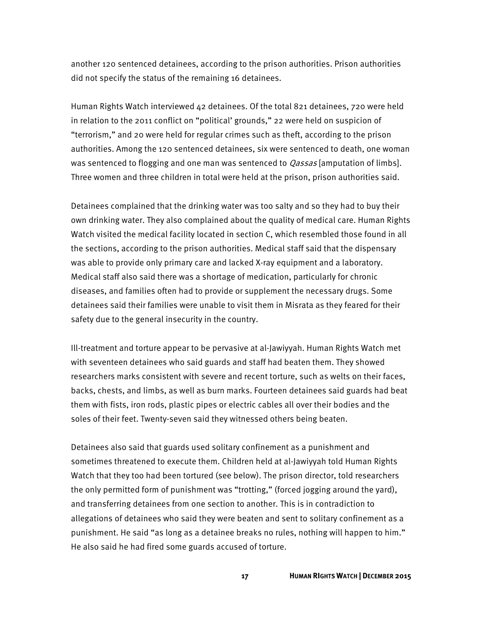another 120 sentenced detainees, according to the prison authorities. Prison authorities did not specify the status of the remaining 16 detainees.

Human Rights Watch interviewed 42 detainees. Of the total 821 detainees, 720 were held in relation to the 2011 conflict on "political' grounds," 22 were held on suspicion of "terrorism," and 20 were held for regular crimes such as theft, according to the prison authorities. Among the 120 sentenced detainees, six were sentenced to death, one woman was sentenced to flogging and one man was sentenced to *Qassas* [amputation of limbs]. Three women and three children in total were held at the prison, prison authorities said.

Detainees complained that the drinking water was too salty and so they had to buy their own drinking water. They also complained about the quality of medical care. Human Rights Watch visited the medical facility located in section C, which resembled those found in all the sections, according to the prison authorities. Medical staff said that the dispensary was able to provide only primary care and lacked X-ray equipment and a laboratory. Medical staff also said there was a shortage of medication, particularly for chronic diseases, and families often had to provide or supplement the necessary drugs. Some detainees said their families were unable to visit them in Misrata as they feared for their safety due to the general insecurity in the country.

Ill-treatment and torture appear to be pervasive at al-Jawiyyah. Human Rights Watch met with seventeen detainees who said guards and staff had beaten them. They showed researchers marks consistent with severe and recent torture, such as welts on their faces, backs, chests, and limbs, as well as burn marks. Fourteen detainees said guards had beat them with fists, iron rods, plastic pipes or electric cables all over their bodies and the soles of their feet. Twenty-seven said they witnessed others being beaten.

Detainees also said that guards used solitary confinement as a punishment and sometimes threatened to execute them. Children held at al-Jawiyyah told Human Rights Watch that they too had been tortured (see below). The prison director, told researchers the only permitted form of punishment was "trotting," (forced jogging around the yard), and transferring detainees from one section to another. This is in contradiction to allegations of detainees who said they were beaten and sent to solitary confinement as a punishment. He said "as long as a detainee breaks no rules, nothing will happen to him." He also said he had fired some guards accused of torture.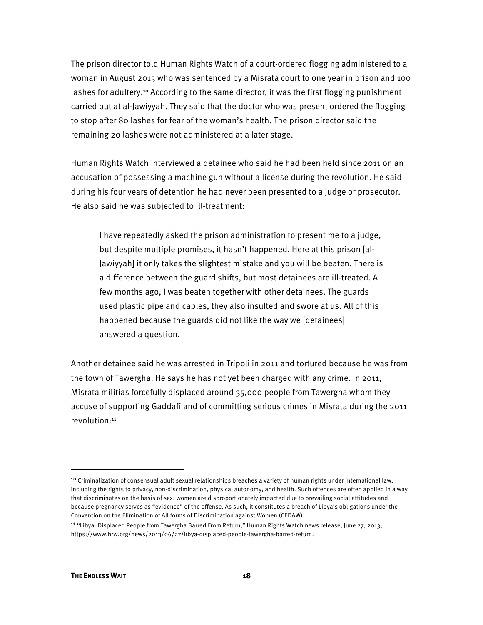The prison director told Human Rights Watch of a court-ordered flogging administered to a woman in August 2015 who was sentenced by a Misrata court to one year in prison and 100 lashes for adultery.<sup>10</sup> According to the same director, it was the first flogging punishment carried out at al-Jawiyyah. They said that the doctor who was present ordered the flogging to stop after 80 lashes for fear of the woman's health. The prison director said the remaining 20 lashes were not administered at a later stage.

Human Rights Watch interviewed a detainee who said he had been held since 2011 on an accusation of possessing a machine gun without a license during the revolution. He said during his four years of detention he had never been presented to a judge or prosecutor. He also said he was subjected to ill-treatment:

I have repeatedly asked the prison administration to present me to a judge, but despite multiple promises, it hasn't happened. Here at this prison [al-Jawiyyah] it only takes the slightest mistake and you will be beaten. There is a difference between the guard shifts, but most detainees are ill-treated. A few months ago, I was beaten together with other detainees. The guards used plastic pipe and cables, they also insulted and swore at us. All of this happened because the guards did not like the way we [detainees] answered a question.

Another detainee said he was arrested in Tripoli in 2011 and tortured because he was from the town of Tawergha. He says he has not yet been charged with any crime. In 2011, Misrata militias forcefully displaced around 35,000 people from Tawergha whom they accuse of supporting Gaddafi and of committing serious crimes in Misrata during the 2011 revolution:<sup>11</sup>

 $\overline{\phantom{a}}$ 

<sup>&</sup>lt;sup>10</sup> Criminalization of consensual adult sexual relationships breaches a variety of human rights under international law, including the rights to privacy, non-discrimination, physical autonomy, and health. Such offences are often applied in a way that discriminates on the basis of sex: women are disproportionately impacted due to prevailing social attitudes and because pregnancy serves as "evidence" of the offense. As such, it constitutes a breach of Libya's obligations under the Convention on the Elimination of All forms of Discrimination against Women (CEDAW).

<sup>11</sup> "Libya: Displaced People from Tawergha Barred From Return," Human Rights Watch news release, June 27, 2013, https://www.hrw.org/news/2013/06/27/libya-displaced-people-tawergha-barred-return.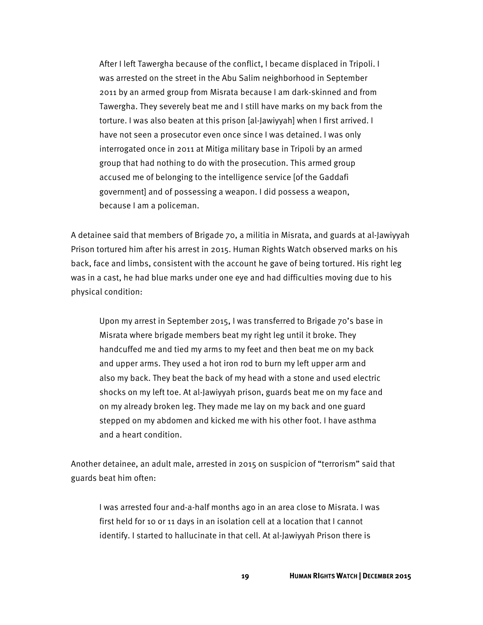After I left Tawergha because of the conflict, I became displaced in Tripoli. I was arrested on the street in the Abu Salim neighborhood in September 2011 by an armed group from Misrata because I am dark-skinned and from Tawergha. They severely beat me and I still have marks on my back from the torture. I was also beaten at this prison [al-Jawiyyah] when I first arrived. I have not seen a prosecutor even once since I was detained. I was only interrogated once in 2011 at Mitiga military base in Tripoli by an armed group that had nothing to do with the prosecution. This armed group accused me of belonging to the intelligence service [of the Gaddafi government] and of possessing a weapon. I did possess a weapon, because I am a policeman.

A detainee said that members of Brigade 70, a militia in Misrata, and guards at al-Jawiyyah Prison tortured him after his arrest in 2015. Human Rights Watch observed marks on his back, face and limbs, consistent with the account he gave of being tortured. His right leg was in a cast, he had blue marks under one eye and had difficulties moving due to his physical condition:

Upon my arrest in September 2015, I was transferred to Brigade 70's base in Misrata where brigade members beat my right leg until it broke. They handcuffed me and tied my arms to my feet and then beat me on my back and upper arms. They used a hot iron rod to burn my left upper arm and also my back. They beat the back of my head with a stone and used electric shocks on my left toe. At al-Jawiyyah prison, guards beat me on my face and on my already broken leg. They made me lay on my back and one guard stepped on my abdomen and kicked me with his other foot. I have asthma and a heart condition.

Another detainee, an adult male, arrested in 2015 on suspicion of "terrorism" said that guards beat him often:

I was arrested four and-a-half months ago in an area close to Misrata. I was first held for 10 or 11 days in an isolation cell at a location that I cannot identify. I started to hallucinate in that cell. At al-Jawiyyah Prison there is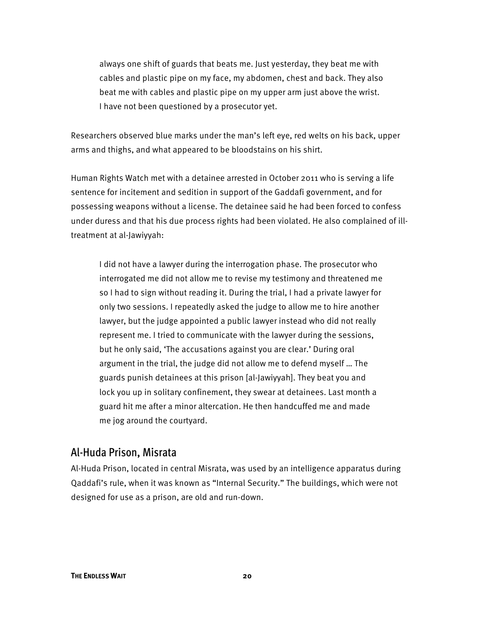always one shift of guards that beats me. Just yesterday, they beat me with cables and plastic pipe on my face, my abdomen, chest and back. They also beat me with cables and plastic pipe on my upper arm just above the wrist. I have not been questioned by a prosecutor yet.

Researchers observed blue marks under the man's left eye, red welts on his back, upper arms and thighs, and what appeared to be bloodstains on his shirt.

Human Rights Watch met with a detainee arrested in October 2011 who is serving a life sentence for incitement and sedition in support of the Gaddafi government, and for possessing weapons without a license. The detainee said he had been forced to confess under duress and that his due process rights had been violated. He also complained of illtreatment at al-Jawiyyah:

I did not have a lawyer during the interrogation phase. The prosecutor who interrogated me did not allow me to revise my testimony and threatened me so I had to sign without reading it. During the trial, I had a private lawyer for only two sessions. I repeatedly asked the judge to allow me to hire another lawyer, but the judge appointed a public lawyer instead who did not really represent me. I tried to communicate with the lawyer during the sessions, but he only said, 'The accusations against you are clear.' During oral argument in the trial, the judge did not allow me to defend myself … The guards punish detainees at this prison [al-Jawiyyah]. They beat you and lock you up in solitary confinement, they swear at detainees. Last month a guard hit me after a minor altercation. He then handcuffed me and made me jog around the courtyard.

#### Al-Huda Prison, Misrata

Al-Huda Prison, located in central Misrata, was used by an intelligence apparatus during Qaddafi's rule, when it was known as "Internal Security." The buildings, which were not designed for use as a prison, are old and run-down.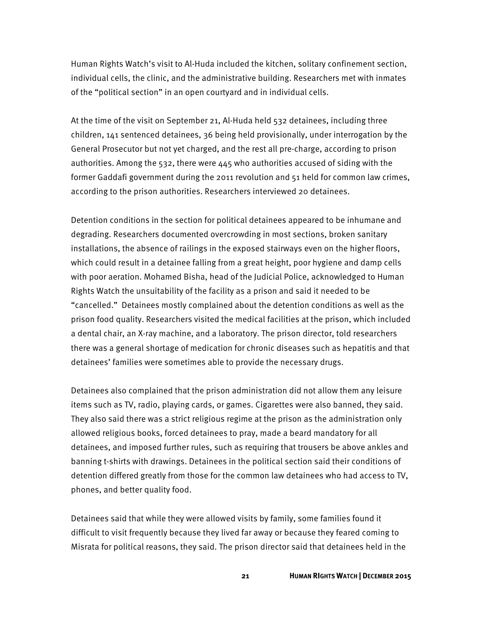Human Rights Watch's visit to Al-Huda included the kitchen, solitary confinement section, individual cells, the clinic, and the administrative building. Researchers met with inmates of the "political section" in an open courtyard and in individual cells.

At the time of the visit on September 21, Al-Huda held 532 detainees, including three children, 141 sentenced detainees, 36 being held provisionally, under interrogation by the General Prosecutor but not yet charged, and the rest all pre-charge, according to prison authorities. Among the 532, there were 445 who authorities accused of siding with the former Gaddafi government during the 2011 revolution and 51 held for common law crimes, according to the prison authorities. Researchers interviewed 20 detainees.

Detention conditions in the section for political detainees appeared to be inhumane and degrading. Researchers documented overcrowding in most sections, broken sanitary installations, the absence of railings in the exposed stairways even on the higher floors, which could result in a detainee falling from a great height, poor hygiene and damp cells with poor aeration. Mohamed Bisha, head of the Judicial Police, acknowledged to Human Rights Watch the unsuitability of the facility as a prison and said it needed to be "cancelled." Detainees mostly complained about the detention conditions as well as the prison food quality. Researchers visited the medical facilities at the prison, which included a dental chair, an X-ray machine, and a laboratory. The prison director, told researchers there was a general shortage of medication for chronic diseases such as hepatitis and that detainees' families were sometimes able to provide the necessary drugs.

Detainees also complained that the prison administration did not allow them any leisure items such as TV, radio, playing cards, or games. Cigarettes were also banned, they said. They also said there was a strict religious regime at the prison as the administration only allowed religious books, forced detainees to pray, made a beard mandatory for all detainees, and imposed further rules, such as requiring that trousers be above ankles and banning t-shirts with drawings. Detainees in the political section said their conditions of detention differed greatly from those for the common law detainees who had access to TV, phones, and better quality food.

Detainees said that while they were allowed visits by family, some families found it difficult to visit frequently because they lived far away or because they feared coming to Misrata for political reasons, they said. The prison director said that detainees held in the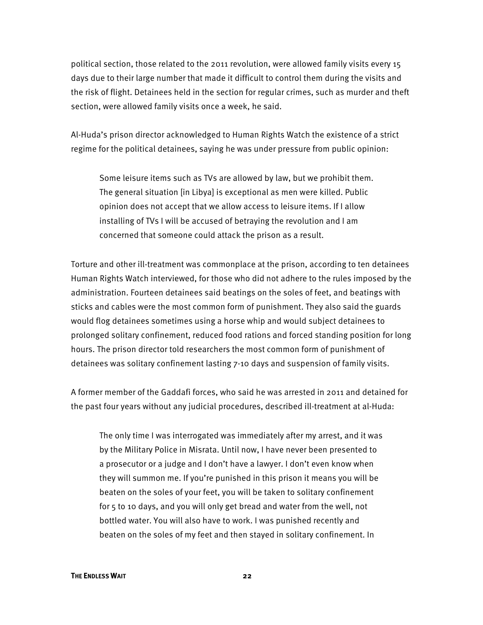political section, those related to the 2011 revolution, were allowed family visits every 15 days due to their large number that made it difficult to control them during the visits and the risk of flight. Detainees held in the section for regular crimes, such as murder and theft section, were allowed family visits once a week, he said.

Al-Huda's prison director acknowledged to Human Rights Watch the existence of a strict regime for the political detainees, saying he was under pressure from public opinion:

Some leisure items such as TVs are allowed by law, but we prohibit them. The general situation [in Libya] is exceptional as men were killed. Public opinion does not accept that we allow access to leisure items. If I allow installing of TVs I will be accused of betraying the revolution and I am concerned that someone could attack the prison as a result.

Torture and other ill-treatment was commonplace at the prison, according to ten detainees Human Rights Watch interviewed, for those who did not adhere to the rules imposed by the administration. Fourteen detainees said beatings on the soles of feet, and beatings with sticks and cables were the most common form of punishment. They also said the guards would flog detainees sometimes using a horse whip and would subject detainees to prolonged solitary confinement, reduced food rations and forced standing position for long hours. The prison director told researchers the most common form of punishment of detainees was solitary confinement lasting 7-10 days and suspension of family visits.

A former member of the Gaddafi forces, who said he was arrested in 2011 and detained for the past four years without any judicial procedures, described ill-treatment at al-Huda:

The only time I was interrogated was immediately after my arrest, and it was by the Military Police in Misrata. Until now, I have never been presented to a prosecutor or a judge and I don't have a lawyer. I don't even know when they will summon me. If you're punished in this prison it means you will be beaten on the soles of your feet, you will be taken to solitary confinement for 5 to 10 days, and you will only get bread and water from the well, not bottled water. You will also have to work. I was punished recently and beaten on the soles of my feet and then stayed in solitary confinement. In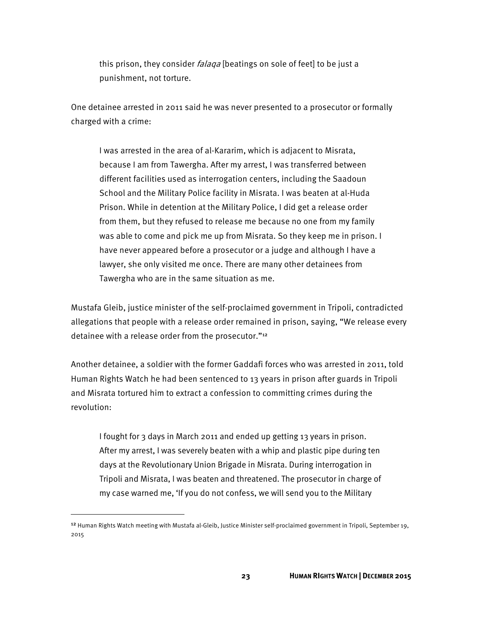this prison, they consider *falaqa* [beatings on sole of feet] to be just a punishment, not torture.

One detainee arrested in 2011 said he was never presented to a prosecutor or formally charged with a crime:

I was arrested in the area of al-Kararim, which is adjacent to Misrata, because I am from Tawergha. After my arrest, I was transferred between different facilities used as interrogation centers, including the Saadoun School and the Military Police facility in Misrata. I was beaten at al-Huda Prison. While in detention at the Military Police, I did get a release order from them, but they refused to release me because no one from my family was able to come and pick me up from Misrata. So they keep me in prison. I have never appeared before a prosecutor or a judge and although I have a lawyer, she only visited me once. There are many other detainees from Tawergha who are in the same situation as me.

Mustafa Gleib, justice minister of the self-proclaimed government in Tripoli, contradicted allegations that people with a release order remained in prison, saying, "We release every detainee with a release order from the prosecutor."<sup>12</sup>

Another detainee, a soldier with the former Gaddafi forces who was arrested in 2011, told Human Rights Watch he had been sentenced to 13 years in prison after guards in Tripoli and Misrata tortured him to extract a confession to committing crimes during the revolution:

I fought for 3 days in March 2011 and ended up getting 13 years in prison. After my arrest, I was severely beaten with a whip and plastic pipe during ten days at the Revolutionary Union Brigade in Misrata. During interrogation in Tripoli and Misrata, I was beaten and threatened. The prosecutor in charge of my case warned me, 'If you do not confess, we will send you to the Military

 $\overline{\phantom{a}}$ 

<sup>&</sup>lt;sup>12</sup> Human Rights Watch meeting with Mustafa al-Gleib, Justice Minister self-proclaimed government in Tripoli, September 19, 2015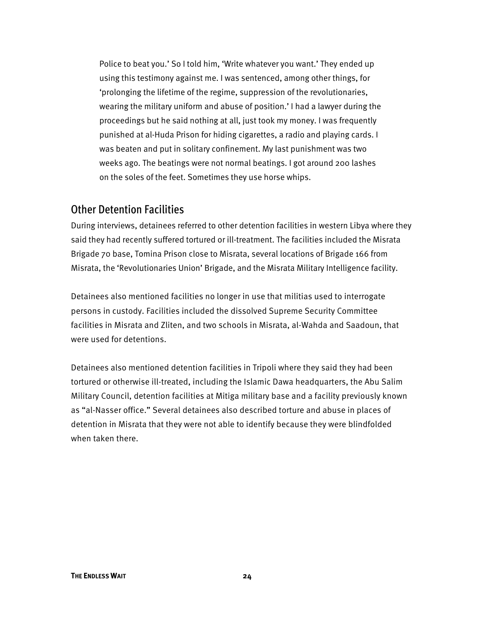Police to beat you.' So I told him, 'Write whatever you want.' They ended up using this testimony against me. I was sentenced, among other things, for 'prolonging the lifetime of the regime, suppression of the revolutionaries, wearing the military uniform and abuse of position.' I had a lawyer during the proceedings but he said nothing at all, just took my money. I was frequently punished at al-Huda Prison for hiding cigarettes, a radio and playing cards. I was beaten and put in solitary confinement. My last punishment was two weeks ago. The beatings were not normal beatings. I got around 200 lashes on the soles of the feet. Sometimes they use horse whips.

#### Other Detention Facilities

During interviews, detainees referred to other detention facilities in western Libya where they said they had recently suffered tortured or ill-treatment. The facilities included the Misrata Brigade 70 base, Tomina Prison close to Misrata, several locations of Brigade 166 from Misrata, the 'Revolutionaries Union' Brigade, and the Misrata Military Intelligence facility.

Detainees also mentioned facilities no longer in use that militias used to interrogate persons in custody. Facilities included the dissolved Supreme Security Committee facilities in Misrata and Zliten, and two schools in Misrata, al-Wahda and Saadoun, that were used for detentions.

Detainees also mentioned detention facilities in Tripoli where they said they had been tortured or otherwise ill-treated, including the Islamic Dawa headquarters, the Abu Salim Military Council, detention facilities at Mitiga military base and a facility previously known as "al-Nasser office." Several detainees also described torture and abuse in places of detention in Misrata that they were not able to identify because they were blindfolded when taken there.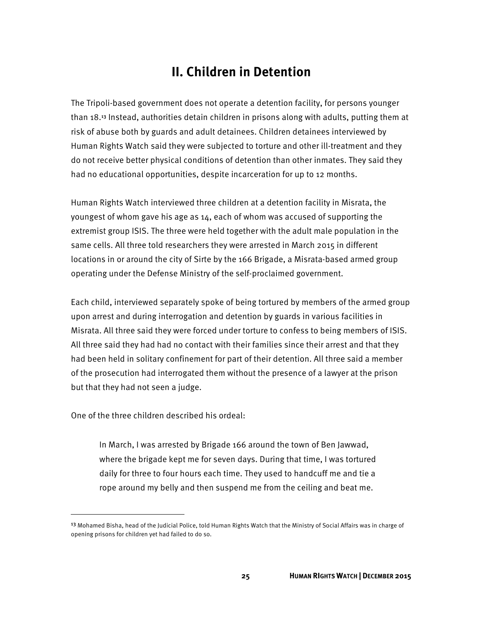# **II. Children in Detention**

The Tripoli-based government does not operate a detention facility, for persons younger than 18.<sup>13</sup> Instead, authorities detain children in prisons along with adults, putting them at risk of abuse both by guards and adult detainees. Children detainees interviewed by Human Rights Watch said they were subjected to torture and other ill-treatment and they do not receive better physical conditions of detention than other inmates. They said they had no educational opportunities, despite incarceration for up to 12 months.

Human Rights Watch interviewed three children at a detention facility in Misrata, the youngest of whom gave his age as 14, each of whom was accused of supporting the extremist group ISIS. The three were held together with the adult male population in the same cells. All three told researchers they were arrested in March 2015 in different locations in or around the city of Sirte by the 166 Brigade, a Misrata-based armed group operating under the Defense Ministry of the self-proclaimed government.

Each child, interviewed separately spoke of being tortured by members of the armed group upon arrest and during interrogation and detention by guards in various facilities in Misrata. All three said they were forced under torture to confess to being members of ISIS. All three said they had had no contact with their families since their arrest and that they had been held in solitary confinement for part of their detention. All three said a member of the prosecution had interrogated them without the presence of a lawyer at the prison but that they had not seen a judge.

One of the three children described his ordeal:

l

In March, I was arrested by Brigade 166 around the town of Ben Jawwad, where the brigade kept me for seven days. During that time, I was tortured daily for three to four hours each time. They used to handcuff me and tie a rope around my belly and then suspend me from the ceiling and beat me.

<sup>&</sup>lt;sup>13</sup> Mohamed Bisha, head of the Judicial Police, told Human Rights Watch that the Ministry of Social Affairs was in charge of opening prisons for children yet had failed to do so.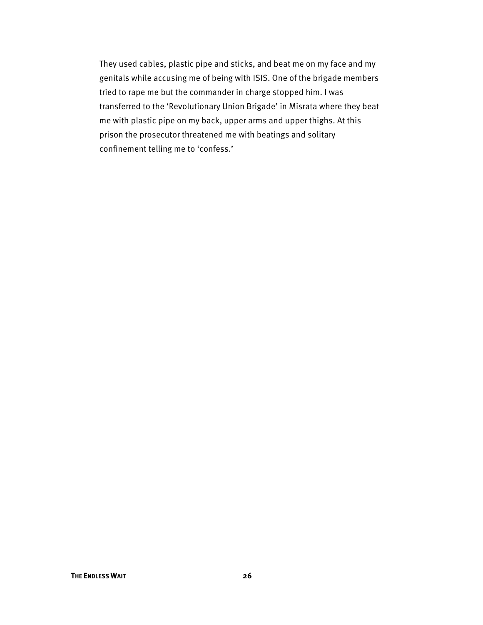They used cables, plastic pipe and sticks, and beat me on my face and my genitals while accusing me of being with ISIS. One of the brigade members tried to rape me but the commander in charge stopped him. I was transferred to the 'Revolutionary Union Brigade' in Misrata where they beat me with plastic pipe on my back, upper arms and upper thighs. At this prison the prosecutor threatened me with beatings and solitary confinement telling me to 'confess.'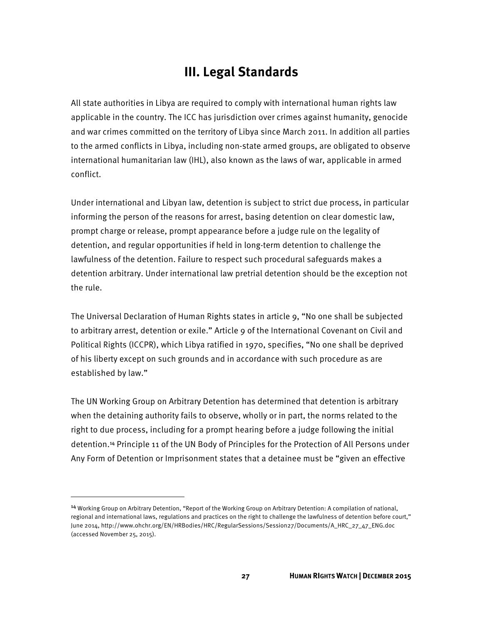# **III. Legal Standards**

All state authorities in Libya are required to comply with international human rights law applicable in the country. The ICC has jurisdiction over crimes against humanity, genocide and war crimes committed on the territory of Libya since March 2011. In addition all parties to the armed conflicts in Libya, including non-state armed groups, are obligated to observe international humanitarian law (IHL), also known as the laws of war, applicable in armed conflict.

Under international and Libyan law, detention is subject to strict due process, in particular informing the person of the reasons for arrest, basing detention on clear domestic law, prompt charge or release, prompt appearance before a judge rule on the legality of detention, and regular opportunities if held in long-term detention to challenge the lawfulness of the detention. Failure to respect such procedural safeguards makes a detention arbitrary. Under international law pretrial detention should be the exception not the rule.

The Universal Declaration of Human Rights states in article 9, "No one shall be subjected to arbitrary arrest, detention or exile." Article 9 of the International Covenant on Civil and Political Rights (ICCPR), which Libya ratified in 1970, specifies, "No one shall be deprived of his liberty except on such grounds and in accordance with such procedure as are established by law."

The UN Working Group on Arbitrary Detention has determined that detention is arbitrary when the detaining authority fails to observe, wholly or in part, the norms related to the right to due process, including for a prompt hearing before a judge following the initial detention.<sup>14</sup> Principle 11 of the UN Body of Principles for the Protection of All Persons under Any Form of Detention or Imprisonment states that a detainee must be "given an effective

 $\overline{\phantom{a}}$ 

<sup>14</sup> Working Group on Arbitrary Detention, "Report of the Working Group on Arbitrary Detention: A compilation of national, regional and international laws, regulations and practices on the right to challenge the lawfulness of detention before court," June 2014, http://www.ohchr.org/EN/HRBodies/HRC/RegularSessions/Session27/Documents/A\_HRC\_27\_47\_ENG.doc (accessed November 25, 2015).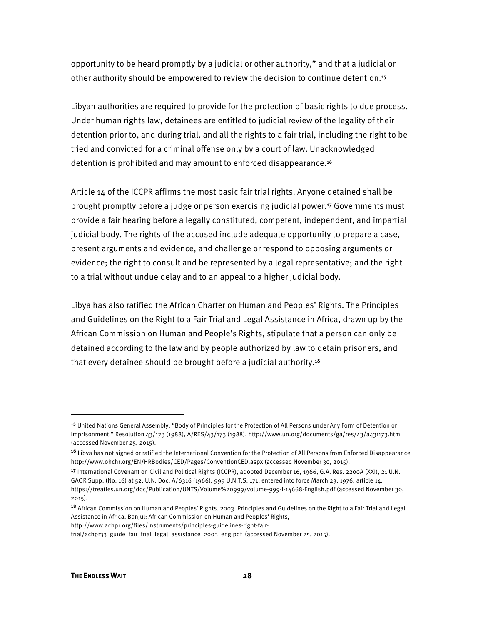opportunity to be heard promptly by a judicial or other authority," and that a judicial or other authority should be empowered to review the decision to continue detention.<sup>15</sup>

Libyan authorities are required to provide for the protection of basic rights to due process. Under human rights law, detainees are entitled to judicial review of the legality of their detention prior to, and during trial, and all the rights to a fair trial, including the right to be tried and convicted for a criminal offense only by a court of law. Unacknowledged detention is prohibited and may amount to enforced disappearance.<sup>16</sup>

Article 14 of the ICCPR affirms the most basic fair trial rights. Anyone detained shall be brought promptly before a judge or person exercising judicial power.<sup>17</sup> Governments must provide a fair hearing before a legally constituted, competent, independent, and impartial judicial body. The rights of the accused include adequate opportunity to prepare a case, present arguments and evidence, and challenge or respond to opposing arguments or evidence; the right to consult and be represented by a legal representative; and the right to a trial without undue delay and to an appeal to a higher judicial body.

Libya has also ratified the African Charter on Human and Peoples' Rights. The Principles and Guidelines on the Right to a Fair Trial and Legal Assistance in Africa, drawn up by the African Commission on Human and People's Rights, stipulate that a person can only be detained according to the law and by people authorized by law to detain prisoners, and that every detainee should be brought before a judicial authority.<sup>18</sup>

**.** 

<sup>15</sup> United Nations General Assembly, "Body of Principles for the Protection of All Persons under Any Form of Detention or Imprisonment," Resolution 43/173 (1988), A/RES/43/173 (1988), http://www.un.org/documents/ga/res/43/a43r173.htm (accessed November 25, 2015).

<sup>&</sup>lt;sup>16</sup> Libya has not signed or ratified the International Convention for the Protection of All Persons from Enforced Disappearance http://www.ohchr.org/EN/HRBodies/CED/Pages/ConventionCED.aspx (accessed November 30, 2015).

<sup>17</sup> International Covenant on Civil and Political Rights (ICCPR), adopted December 16, 1966, G.A. Res. 2200A (XXI), 21 U.N. GAOR Supp. (No. 16) at 52, U.N. Doc. A/6316 (1966), 999 U.N.T.S. 171, entered into force March 23, 1976, article 14. https://treaties.un.org/doc/Publication/UNTS/Volume%20999/volume-999-I-14668-English.pdf (accessed November 30, 2015).

<sup>18</sup> African Commission on Human and Peoples' Rights. 2003. Principles and Guidelines on the Right to a Fair Trial and Legal Assistance in Africa. Banjul: African Commission on Human and Peoples' Rights,

http://www.achpr.org/files/instruments/principles-guidelines-right-fair-

trial/achpr33\_guide\_fair\_trial\_legal\_assistance\_2003\_eng.pdf (accessed November 25, 2015).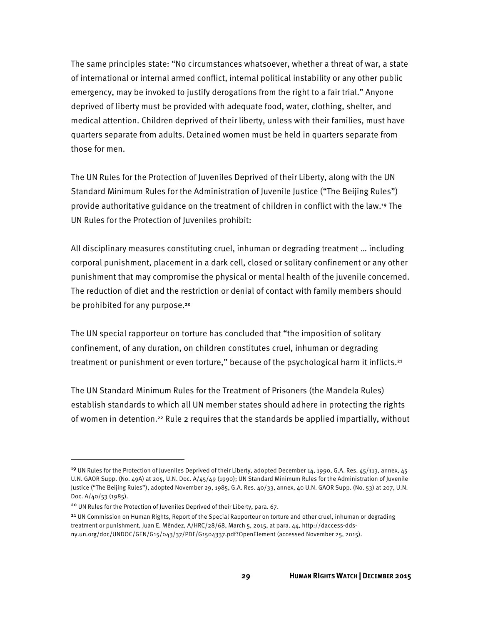The same principles state: "No circumstances whatsoever, whether a threat of war, a state of international or internal armed conflict, internal political instability or any other public emergency, may be invoked to justify derogations from the right to a fair trial." Anyone deprived of liberty must be provided with adequate food, water, clothing, shelter, and medical attention. Children deprived of their liberty, unless with their families, must have quarters separate from adults. Detained women must be held in quarters separate from those for men.

The UN Rules for the Protection of Juveniles Deprived of their Liberty, along with the UN Standard Minimum Rules for the Administration of Juvenile Justice ("The Beijing Rules") provide authoritative guidance on the treatment of children in conflict with the law.<sup>19</sup> The UN Rules for the Protection of Juveniles prohibit:

All disciplinary measures constituting cruel, inhuman or degrading treatment … including corporal punishment, placement in a dark cell, closed or solitary confinement or any other punishment that may compromise the physical or mental health of the juvenile concerned. The reduction of diet and the restriction or denial of contact with family members should be prohibited for any purpose.<sup>20</sup>

The UN special rapporteur on torture has concluded that "the imposition of solitary confinement, of any duration, on children constitutes cruel, inhuman or degrading treatment or punishment or even torture," because of the psychological harm it inflicts.<sup>21</sup>

The UN Standard Minimum Rules for the Treatment of Prisoners (the Mandela Rules) establish standards to which all UN member states should adhere in protecting the rights of women in detention.<sup>22</sup> Rule 2 requires that the standards be applied impartially, without

**.** 

<sup>&</sup>lt;sup>19</sup> UN Rules for the Protection of Juveniles Deprived of their Liberty, adopted December 14, 1990, G.A. Res. 45/113, annex, 45 U.N. GAOR Supp. (No. 49A) at 205, U.N. Doc. A/45/49 (1990); UN Standard Minimum Rules for the Administration of Juvenile Justice ("The Beijing Rules"), adopted November 29, 1985, G.A. Res. 40/33, annex, 40 U.N. GAOR Supp. (No. 53) at 207, U.N. Doc. A/40/53 (1985).

<sup>&</sup>lt;sup>20</sup> UN Rules for the Protection of Juveniles Deprived of their Liberty, para. 67.

<sup>&</sup>lt;sup>21</sup> UN Commission on Human Rights, Report of the Special Rapporteur on torture and other cruel, inhuman or degrading treatment or punishment, Juan E. Méndez, A/HRC/28/68, March 5, 2015, at para. 44, http://daccess-ddsny.un.org/doc/UNDOC/GEN/G15/043/37/PDF/G1504337.pdf?OpenElement (accessed November 25, 2015).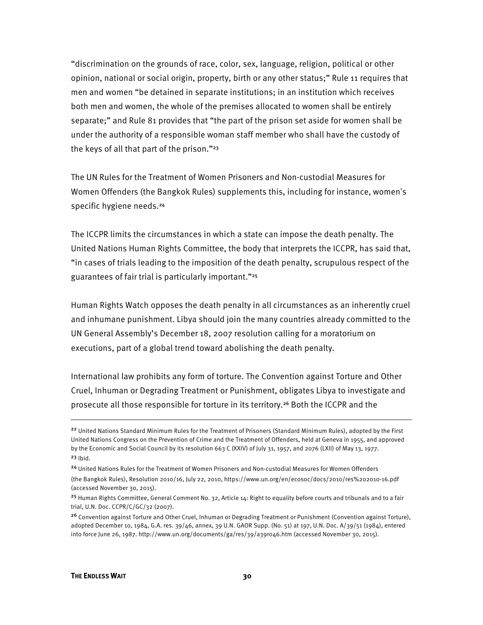"discrimination on the grounds of race, color, sex, language, religion, political or other opinion, national or social origin, property, birth or any other status;" Rule 11 requires that men and women "be detained in separate institutions; in an institution which receives both men and women, the whole of the premises allocated to women shall be entirely separate;" and Rule 81 provides that "the part of the prison set aside for women shall be under the authority of a responsible woman staff member who shall have the custody of the keys of all that part of the prison."<sup>23</sup>

The UN Rules for the Treatment of Women Prisoners and Non-custodial Measures for Women Offenders (the Bangkok Rules) supplements this, including for instance, women's specific hygiene needs.<sup>24</sup>

The ICCPR limits the circumstances in which a state can impose the death penalty. The United Nations Human Rights Committee, the body that interprets the ICCPR, has said that, "in cases of trials leading to the imposition of the death penalty, scrupulous respect of the guarantees of fair trial is particularly important."<sup>25</sup>

Human Rights Watch opposes the death penalty in all circumstances as an inherently cruel and inhumane punishment. Libya should join the many countries already committed to the UN General Assembly's December 18, 2007 resolution calling for a moratorium on executions, part of a global trend toward abolishing the death penalty.

International law prohibits any form of torture. The Convention against Torture and Other Cruel, Inhuman or Degrading Treatment or Punishment, obligates Libya to investigate and prosecute all those responsible for torture in its territory.<sup>26</sup> Both the ICCPR and the

 $\overline{\phantom{a}}$ 

<sup>&</sup>lt;sup>22</sup> United Nations Standard Minimum Rules for the Treatment of Prisoners (Standard Minimum Rules), adopted by the First United Nations Congress on the Prevention of Crime and the Treatment of Offenders, held at Geneva in 1955, and approved by the Economic and Social Council by its resolution 663 C (XXIV) of July 31, 1957, and 2076 (LXII) of May 13, 1977.  $23$  Ibid.

<sup>24</sup> United Nations Rules for the Treatment of Women Prisoners and Non-custodial Measures for Women Offenders (the Bangkok Rules), Resolution 2010/16, July 22, 2010, https://www.un.org/en/ecosoc/docs/2010/res%202010-16.pdf (accessed November 30, 2015).

<sup>&</sup>lt;sup>25</sup> Human Rights Committee, General Comment No. 32, Article 14: Right to equality before courts and tribunals and to a fair trial, U.N. Doc. CCPR/C/GC/32 (2007).

<sup>&</sup>lt;sup>26</sup> Convention against Torture and Other Cruel, Inhuman or Degrading Treatment or Punishment (Convention against Torture), adopted December 10, 1984, G.A. res. 39/46, annex, 39 U.N. GAOR Supp. (No. 51) at 197, U.N. Doc. A/39/51 (1984), entered into force June 26, 1987. http://www.un.org/documents/ga/res/39/a39r046.htm (accessed November 30, 2015).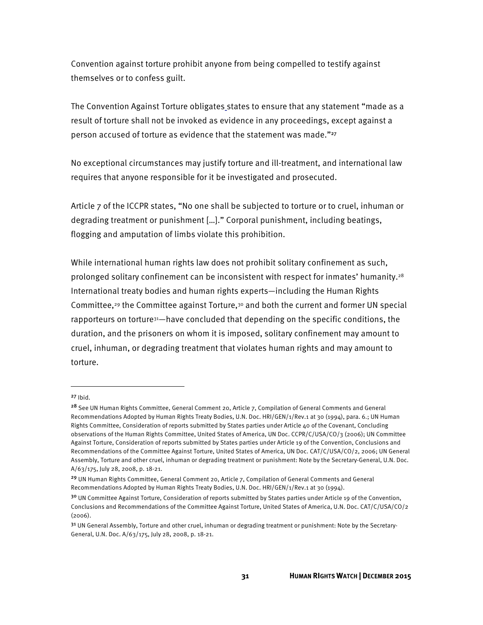Convention against torture prohibit anyone from being compelled to testify against themselves or to confess guilt.

The Convention Against Torture obligates states to ensure that any statement "made as a result of torture shall not be invoked as evidence in any proceedings, except against a person accused of torture as evidence that the statement was made."27

No exceptional circumstances may justify torture and ill-treatment, and international law requires that anyone responsible for it be investigated and prosecuted.

Article 7 of the ICCPR states, "No one shall be subjected to torture or to cruel, inhuman or degrading treatment or punishment […]." Corporal punishment, including beatings, flogging and amputation of limbs violate this prohibition.

While international human rights law does not prohibit solitary confinement as such, prolonged solitary confinement can be inconsistent with respect for inmates' humanity.<sup>28</sup> International treaty bodies and human rights experts—including the Human Rights Committee,<sup>29</sup> the Committee against Torture,<sup>30</sup> and both the current and former UN special rapporteurs on torture<sup>31</sup>—have concluded that depending on the specific conditions, the duration, and the prisoners on whom it is imposed, solitary confinement may amount to cruel, inhuman, or degrading treatment that violates human rights and may amount to torture.

 $\overline{\phantom{a}}$ 

<sup>27</sup> Ibid.

<sup>&</sup>lt;sup>28</sup> See UN Human Rights Committee, General Comment 20, Article 7, Compilation of General Comments and General Recommendations Adopted by Human Rights Treaty Bodies, U.N. Doc. HRI/GEN/1/Rev.1 at 30 (1994), para. 6.; UN Human Rights Committee, Consideration of reports submitted by States parties under Article 40 of the Covenant, Concluding observations of the Human Rights Committee, United States of America, UN Doc. CCPR/C/USA/CO/3 (2006); UN Committee Against Torture, Consideration of reports submitted by States parties under Article 19 of the Convention, Conclusions and Recommendations of the Committee Against Torture, United States of America, UN Doc. CAT/C/USA/CO/2, 2006; UN General Assembly, Torture and other cruel, inhuman or degrading treatment or punishment: Note by the Secretary-General, U.N. Doc. A/63/175, July 28, 2008, p. 18-21.

<sup>29</sup> UN Human Rights Committee, General Comment 20, Article 7, Compilation of General Comments and General Recommendations Adopted by Human Rights Treaty Bodies, U.N. Doc. HRI/GEN/1/Rev.1 at 30 (1994).

<sup>&</sup>lt;sup>30</sup> UN Committee Against Torture, Consideration of reports submitted by States parties under Article 19 of the Convention, Conclusions and Recommendations of the Committee Against Torture, United States of America, U.N. Doc. CAT/C/USA/CO/2  $(2006)$ 

<sup>&</sup>lt;sup>31</sup> UN General Assembly, Torture and other cruel, inhuman or degrading treatment or punishment: Note by the Secretary-General, U.N. Doc. A/63/175, July 28, 2008, p. 18-21.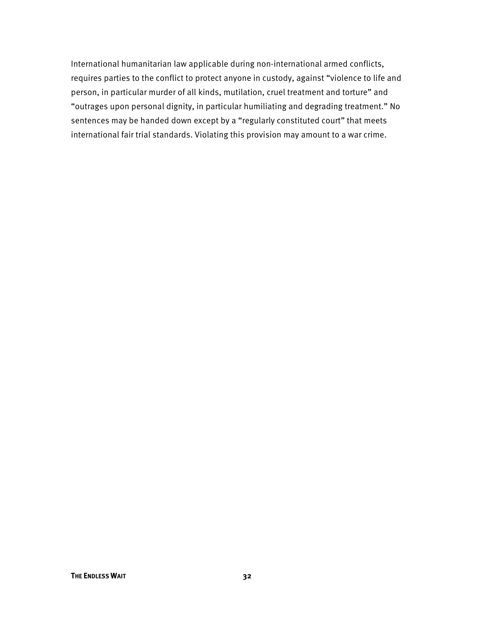International humanitarian law applicable during non-international armed conflicts, requires parties to the conflict to protect anyone in custody, against "violence to life and person, in particular murder of all kinds, mutilation, cruel treatment and torture" and "outrages upon personal dignity, in particular humiliating and degrading treatment." No sentences may be handed down except by a "regularly constituted court" that meets international fair trial standards. Violating this provision may amount to a war crime.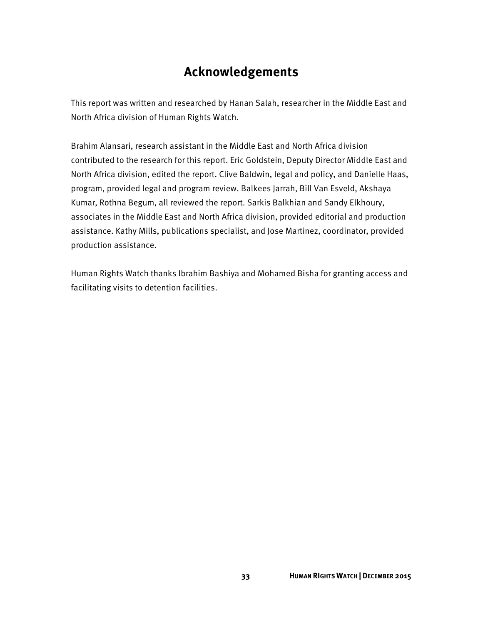# **Acknowledgements**

This report was written and researched by Hanan Salah, researcher in the Middle East and North Africa division of Human Rights Watch.

Brahim Alansari, research assistant in the Middle East and North Africa division contributed to the research for this report. Eric Goldstein, Deputy Director Middle East and North Africa division, edited the report. Clive Baldwin, legal and policy, and Danielle Haas, program, provided legal and program review. Balkees Jarrah, Bill Van Esveld, Akshaya Kumar, Rothna Begum, all reviewed the report. Sarkis Balkhian and Sandy Elkhoury, associates in the Middle East and North Africa division, provided editorial and production assistance. Kathy Mills, publications specialist, and Jose Martinez, coordinator, provided production assistance.

Human Rights Watch thanks Ibrahim Bashiya and Mohamed Bisha for granting access and facilitating visits to detention facilities.